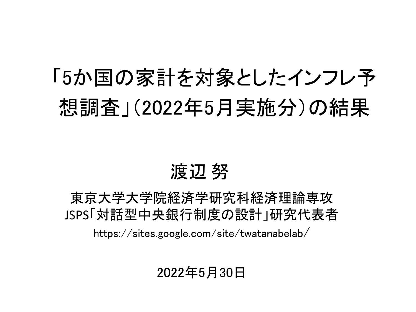# 「5か国の家計を対象としたインフレ予 想調査」(2022年5月実施分)の結果

### 渡辺 努

東京大学大学院経済学研究科経済理論専攻 JSPS「対話型中央銀行制度の設計」研究代表者 https://sites.google.com/site/twatanabelab/

#### 2022年5月30日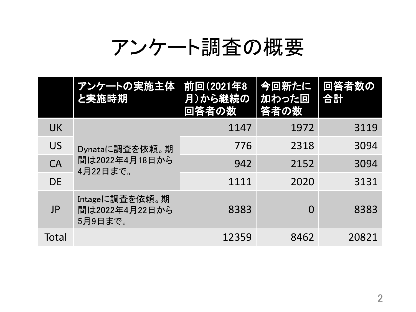## アンケート調査の概要

|           | アンケートの実施主体<br>と実施時期                          | 前回(2021年8<br>月)から継続の<br>回答者の数 | 今回新たに<br>加わった回<br>答者の数 | <u> 回答者数の</u><br>合計 |
|-----------|----------------------------------------------|-------------------------------|------------------------|---------------------|
| <b>UK</b> | Dynataに調査を依頼。期<br>間は2022年4月18日から<br>4月22日まで。 | 1147                          | 1972                   | 3119                |
| <b>US</b> |                                              | 776                           | 2318                   | 3094                |
| CA        |                                              | 942                           | 2152                   | 3094                |
| <b>DE</b> |                                              | 1111                          | 2020                   | 3131                |
| JP        | Intageに調査を依頼。期<br>間は2022年4月22日から<br>5月9日まで。  | 8383                          | $\Omega$               | 8383                |
| Total     |                                              | 12359                         | 8462                   | 20821               |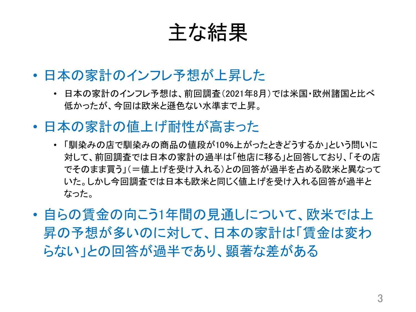主な結果

- 日本の家計のインフレ予想が上昇した
	- 日本の家計のインフレ予想は、前回調査(2021年8月)では米国・欧州諸国と比べ 低かったが、今回は欧米と遜色ない水準まで上昇。
- 日本の家計の値上げ耐性が高まった
	- 「馴染みの店で馴染みの商品の値段が10%上がったときどうするか」という問いに 対して、前回調査では日本の家計の過半は「他店に移る」と回答しており、「その店 でそのまま買う」(=値上げを受け入れる)との回答が過半を占める欧米と異なって いた。しかし今回調査では日本も欧米と同じく値上げを受け入れる回答が過半と なった。
- 自らの賃金の向こう1年間の見通しについて、欧米では上 昇の予想が多いのに対して、日本の家計は「賃金は変わ らない」との回答が過半であり、顕著な差がある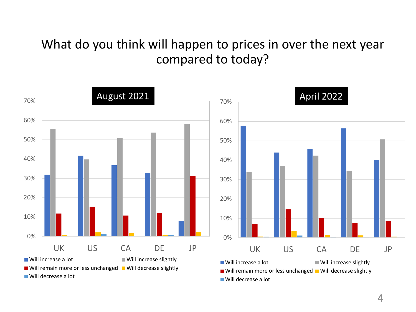#### What do you think will happen to prices in over the next year compared to today?

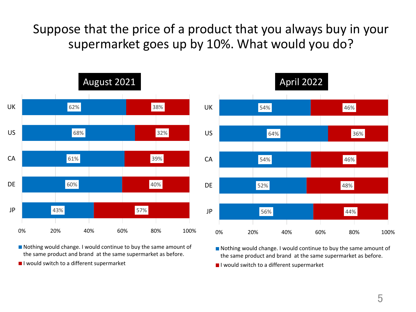Suppose that the price of a product that you always buy in your supermarket goes up by 10%. What would you do?



Nothing would change. I would continue to buy the same amount of the same product and brand at the same supermarket as before.

I would switch to a different supermarket



Nothing would change. I would continue to buy the same amount of the same product and brand at the same supermarket as before.

I would switch to a different supermarket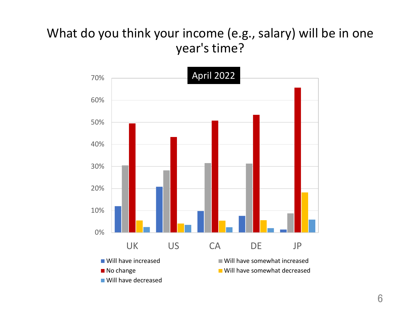### year's time? What do you think your income (e.g., salary) will be in one

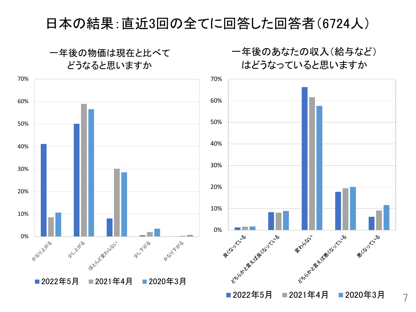#### 日本の結果:直近3回の全てに回答した回答者(6724人)



#### 一年後のあなたの収入(給与など) はどうなっていると思いますか

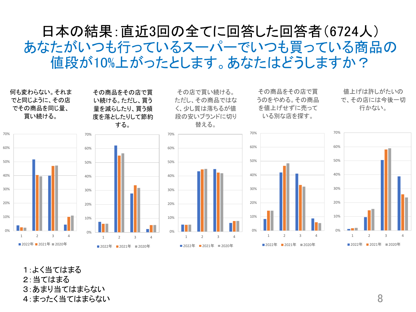#### 日本の結果:直近3回の全てに回答した回答者(6724人) あなたがいつも行っているスーパーでいつも買っている商品の 値段が10%上がったとします。あなたはどうしますか?



1:よく当てはまる 2:当てはまる 3:あまり当てはまらない 4:まったく当てはまらない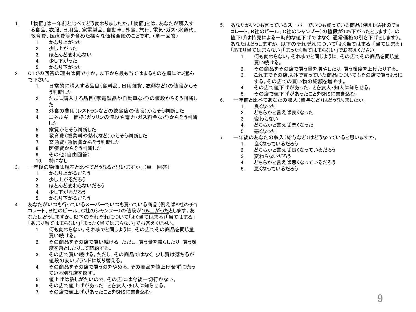- 1. 「物価」は一年前と比べてどう変わりましたか。「物価」とは、あなたが購入す る食品、衣服、日用品、家電製品、自動車、外食、旅行、電気・ガス・水道代、 教育費、医療費等を含めた様々な価格全般のことです。(単一回答)
	- 1. かなり上がった
	- 2. 少し上がった
	- 3. ほとんど変わらない
	- 4. 少し下がった
	- 5. かなり下がった
- 2. Q1での回答の理由は何ですか。以下から最も当てはまるものを順に3つ選ん で下さい。
	- 1. 日常的に購入する品目(食料品、日用雑貨、衣類など)の値段からそ う判断した
	- 2. たまに購入する品目(家電製品や自動車など)の値段からそう判断し た
	- 3. 外食の費用(レストランなどの飲食店の値段)からそう判断した
	- 4. エネルギー価格(ガソリンの値段や電力・ガス料金など)からそう判断 した
	- 5. 家賃からそう判断した
	- 6. 教育費(授業料や塾代など)からそう判断した
	- 7. 交通費・通信費からそう判断した
	- 8. 医療費からそう判断した
	- 9. その他(自由回答)
	- 10. 特になし
- 3. 一年後の物価は現在と比べてどうなると思いますか。(単一回答)
	- 1. かなり上がるだろう
	- 2. 少し上がるだろう
	- 3. ほとんど変わらないだろう
	- 4. 少し下がるだろう
	- 5. かなり下がるだろう
- 4. あなたがいつも行っているスーパーでいつも買っている商品(例えばA社のチョ コレート、B社のビール、C社のシャンプー)の値段が10%上がったとします。あ なたはどうしますか。以下のそれぞれについて「よく当てはまる」「当てはまる」 「あまり当てはまらない」「まったく当てはまらない」でお答えください。
	- 1. 何も変わらない。それまでと同じように,その店でその商品を同じ量, 買い続ける。
	- 2. その商品をその店で買い続ける。ただし,買う量を減らしたり,買う頻 度を落としたりして節約する。
	- 3. その店で買い続ける。ただし,その商品ではなく,少し質は落ちるが 値段の安いブランドに切り替える。
	- 4. その商品をその店で買うのをやめる。その商品を値上げせずに売っ ている別な店を探す。
	- 5. 値上げは許しがたいので,その店には今後一切行かない。
	- 6. その店で値上げがあったことを友人・知人に知らせる。
	- 7. その店で値上げがあったことをSNSに書き込む。
- 5. あなたがいつも言っているスーパーでいつも買っている商品(例えばA社のチョ コレート、B社のビール、C社のシャンプー)の値段が10%下がったとします(この 値下げは特売による一時的な値下げではなく,通常価格の引き下げとします)。 あなたはどうしますか。以下のそれぞれについて「よく当てはまる」「当てはまる」 「あまり当てはまらない」「まったく当てはまらない」でお答えください。
	- 1. 何も変わらない。それまでと同じように,その店でその商品を同じ量, 買い続ける。
	- 2. その商品をその店で買う量を増やしたり,買う頻度を上げたりする。
	- 3. これまでその店以外で買っていた商品についてもその店で買うように する。その店での買い物の総額を増やす。
	- 4. その店で値下げがあったことを友人・知人に知らせる。
	- 5. その店で値下げがあったことをSNSに書き込む。
- 6. 一年前と比べてあなたの収入(給与など)はどうなりましたか。
	- 1. 良くなった
	- 2. どちらかと言えば良くなった
	- 3. 変わらない
	- 4. どちらかと言えば悪くなった
	- 5. 悪くなった
- 7. 一年後のあなたの収入(給与など)はどうなっていると思いますか。
	- 1. 良くなっているだろう
	- 2. どちらかと言えば良くなっているだろう
	- 3. 変わらないだろう
	- 4. どちらかと言えば悪くなっているだろう
	- 5. 悪くなっているだろう